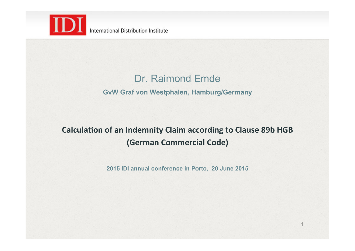

## Dr. Raimond Emde

### **GvW Graf von Westphalen, Hamburg/Germany**

# **Calculation of an Indemnity Claim according to Clause 89b HGB (German Commercial Code)**

**2015 IDI annual conference in Porto, 20 June 2015**

1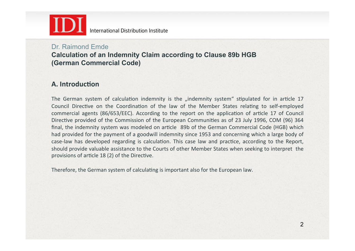

### Dr. Raimond Emde **Calculation of an Indemnity Claim according to Clause 89b HGB (German Commercial Code)**

### **A.** Introduction

The German system of calculation indemnity is the "indemnity system" stipulated for in article 17 Council Directive on the Coordination of the law of the Member States relating to self-employed commercial agents (86/653/EEC). According to the report on the application of article 17 of Council Directive provided of the Commission of the European Communities as of 23 July 1996, COM (96) 364 final, the indemnity system was modeled on article 89b of the German Commercial Code (HGB) which had provided for the payment of a goodwill indemnity since 1953 and concerning which a large body of case-law has developed regarding is calculation. This case law and practice, according to the Report, should provide valuable assistance to the Courts of other Member States when seeking to interpret the provisions of article 18 (2) of the Directive.

Therefore, the German system of calculating is important also for the European law.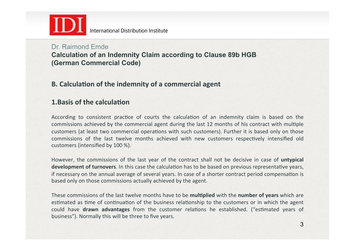

### Dr. Raimond Emde **Calculation of an Indemnity Claim according to Clause 89b HGB (German Commercial Code)**

### **B.** Calculation of the indemnity of a commercial agent

### **1.Basis of the calculation**

According to consistent practice of courts the calculation of an indemnity claim is based on the commissions achieved by the commercial agent during the last 12 months of his contract with multiple customers (at least two commercial operations with such customers). Further it is based only on those commissions of the last twelve months achieved with new customers respectively intensified old customers (intensified by 100 %).

However, the commissions of the last year of the contract shall not be decisive in case of *untypical* **development of turnovers**. In this case the calculation has to be based on previous representative years, if necessary on the annual average of several years. In case of a shorter contract period compensation is based only on those commissions actually achieved by the agent.

These commissions of the last twelve months have to be **multiplied** with the **number of years** which are estimated as time of continuation of the business relationship to the customers or in which the agent could have **drawn advantages** from the customer relations he established. ("estimated years of business"). Normally this will be three to five years.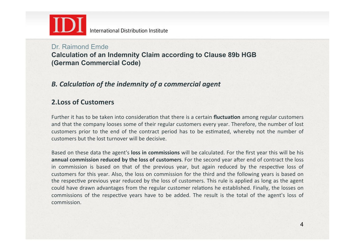

### Dr. Raimond Emde **Calculation of an Indemnity Claim according to Clause 89b HGB (German Commercial Code)**

### **B.** Calculation of the indemnity of a commercial agent

### **2.Loss of Customers**

Further it has to be taken into consideration that there is a certain **fluctuation** among regular customers and that the company looses some of their regular customers every year. Therefore, the number of lost customers prior to the end of the contract period has to be estimated, whereby not the number of customers but the lost turnover will be decisive.

Based on these data the agent's **loss in commissions** will be calculated. For the first year this will be his **annual commission reduced by the loss of customers**. For the second year after end of contract the loss in commission is based on that of the previous year, but again reduced by the respective loss of customers for this year. Also, the loss on commission for the third and the following years is based on the respective previous year reduced by the loss of customers. This rule is applied as long as the agent could have drawn advantages from the regular customer relations he established. Finally, the losses on commissions of the respective years have to be added. The result is the total of the agent's loss of commission.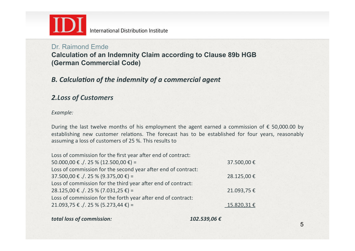

### Dr. Raimond Emde **Calculation of an Indemnity Claim according to Clause 89b HGB (German Commercial Code)**

### **B.** Calculation of the indemnity of a commercial agent

### *2.Loss of Customers*

### Example:

During the last twelve months of his employment the agent earned a commission of  $\epsilon$  50,000.00 by establishing new customer relations. The forecast has to be established for four years, reasonably assuming a loss of customers of 25 %. This results to

| Loss of commission for the first year after end of contract:  |            |
|---------------------------------------------------------------|------------|
| 50.000,00 € ./. 25 % (12.500,00 €) =                          | 37.500,00€ |
| Loss of commission for the second year after end of contract: |            |
| $37.500,00 \in ./.25 \% (9.375,00 \in ) =$                    | 28.125,00€ |
| Loss of commission for the third year after end of contract:  |            |
| $28.125,00 \t\in ./.25$ % (7.031,25 €) =                      | 21.093,75€ |
| Loss of commission for the forth year after end of contract:  |            |
| 21.093,75 € ./. 25 % (5.273,44 €) =                           | 15.820,31€ |

**total loss of commission: 102.539,06** €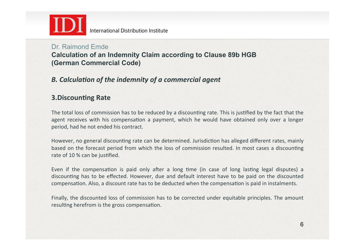

### Dr. Raimond Emde **Calculation of an Indemnity Claim according to Clause 89b HGB (German Commercial Code)**

## **B.** Calculation of the indemnity of a commercial agent

### **3.Discounting Rate**

The total loss of commission has to be reduced by a discounting rate. This is justified by the fact that the agent receives with his compensation a payment, which he would have obtained only over a longer period, had he not ended his contract.

However, no general discounting rate can be determined. Jurisdiction has alleged different rates, mainly based on the forecast period from which the loss of commission resulted. In most cases a discounting rate of 10 % can be justified.

Even if the compensation is paid only after a long time (in case of long lasting legal disputes) a discounting has to be effected. However, due and default interest have to be paid on the discounted compensation. Also, a discount rate has to be deducted when the compensation is paid in instalments.

Finally, the discounted loss of commission has to be corrected under equitable principles. The amount resulting herefrom is the gross compensation.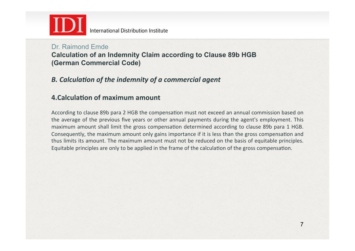

### Dr. Raimond Emde **Calculation of an Indemnity Claim according to Clause 89b HGB (German Commercial Code)**

## **B.** Calculation of the indemnity of a commercial agent

### **4.Calculation of maximum amount**

According to clause 89b para 2 HGB the compensation must not exceed an annual commission based on the average of the previous five years or other annual payments during the agent's employment. This maximum amount shall limit the gross compensation determined according to clause 89b para 1 HGB. Consequently, the maximum amount only gains importance if it is less than the gross compensation and thus limits its amount. The maximum amount must not be reduced on the basis of equitable principles. Equitable principles are only to be applied in the frame of the calculation of the gross compensation.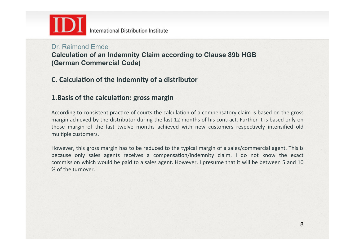

### Dr. Raimond Emde **Calculation of an Indemnity Claim according to Clause 89b HGB (German Commercial Code)**

### **C.** Calculation of the indemnity of a distributor

### **1.Basis of the calculation: gross margin**

According to consistent practice of courts the calculation of a compensatory claim is based on the gross margin achieved by the distributor during the last 12 months of his contract. Further it is based only on those margin of the last twelve months achieved with new customers respectively intensified old multiple customers.

However, this gross margin has to be reduced to the typical margin of a sales/commercial agent. This is because only sales agents receives a compensation/indemnity claim. I do not know the exact commission which would be paid to a sales agent. However, I presume that it will be between 5 and 10 % of the turnover.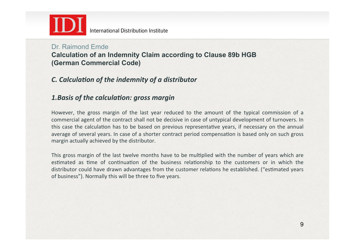

### Dr. Raimond Emde **Calculation of an Indemnity Claim according to Clause 89b HGB (German Commercial Code)**

## *C.* Calculation of the indemnity of a distributor

### 1. Basis of the calculation: gross margin

However, the gross margin of the last year reduced to the amount of the typical commission of a commercial agent of the contract shall not be decisive in case of untypical development of turnovers. In this case the calculation has to be based on previous representative years, if necessary on the annual average of several years. In case of a shorter contract period compensation is based only on such gross margin actually achieved by the distributor.

This gross margin of the last twelve months have to be multiplied with the number of years which are estimated as time of continuation of the business relationship to the customers or in which the distributor could have drawn advantages from the customer relations he established. ("estimated years of business"). Normally this will be three to five years.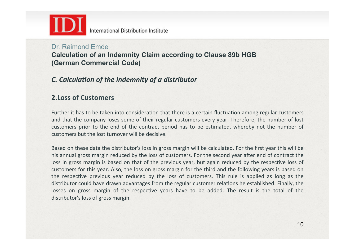

# Dr. Raimond Emde

**Calculation of an Indemnity Claim according to Clause 89b HGB (German Commercial Code)**

## *C.* Calculation of the indemnity of a distributor

### **2.Loss of Customers**

Further it has to be taken into consideration that there is a certain fluctuation among regular customers and that the company loses some of their regular customers every year. Therefore, the number of lost customers prior to the end of the contract period has to be estimated, whereby not the number of customers but the lost turnover will be decisive.

Based on these data the distributor's loss in gross margin will be calculated. For the first year this will be his annual gross margin reduced by the loss of customers. For the second year after end of contract the loss in gross margin is based on that of the previous year, but again reduced by the respective loss of customers for this year. Also, the loss on gross margin for the third and the following years is based on the respective previous year reduced by the loss of customers. This rule is applied as long as the distributor could have drawn advantages from the regular customer relations he established. Finally, the losses on gross margin of the respective years have to be added. The result is the total of the distributor's loss of gross margin.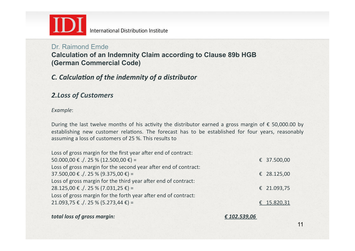

## Dr. Raimond Emde

**Calculation of an Indemnity Claim according to Clause 89b HGB (German Commercial Code)**

### *C.* Calculation of the indemnity of a distributor

### *2.Loss of Customers*

### *Example*:

During the last twelve months of his activity the distributor earned a gross margin of  $\epsilon$  50,000.00 by establishing new customer relations. The forecast has to be established for four years, reasonably assuming a loss of customers of 25 %. This results to

| Loss of gross margin for the first year after end of contract:  |             |
|-----------------------------------------------------------------|-------------|
| 50.000,00 € ./. 25 % (12.500,00 €) =                            | € 37.500,00 |
| Loss of gross margin for the second year after end of contract: |             |
| $37.500,00 \in ./.25$ % (9.375,00 €) =                          | € 28.125,00 |
| Loss of gross margin for the third year after end of contract:  |             |
| $28.125,00 \in$ ./. 25 % (7.031,25 €) =                         | € 21.093,75 |
| Loss of gross margin for the forth year after end of contract:  |             |
| 21.093,75 € ./. 25 % (5.273,44 €) =                             | € 15.820,31 |
|                                                                 |             |

**total loss of gross margin:**  $€ 102.539,06$ 

11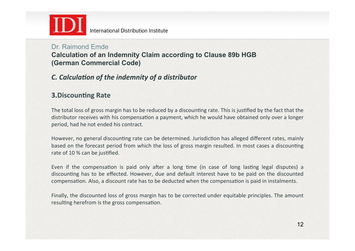

## Dr. Raimond Emde

**Calculation of an Indemnity Claim according to Clause 89b HGB (German Commercial Code)**

## *C.* Calculation of the indemnity of a distributor

### **3.Discounting Rate**

The total loss of gross margin has to be reduced by a discounting rate. This is justified by the fact that the distributor receives with his compensation a payment, which he would have obtained only over a longer period, had he not ended his contract.

However, no general discounting rate can be determined. Jurisdiction has alleged different rates, mainly based on the forecast period from which the loss of gross margin resulted. In most cases a discounting rate of 10 % can be justified.

Even if the compensation is paid only after a long time (in case of long lasting legal disputes) a discounting has to be effected. However, due and default interest have to be paid on the discounted compensation. Also, a discount rate has to be deducted when the compensation is paid in instalments.

Finally, the discounted loss of gross margin has to be corrected under equitable principles. The amount resulting herefrom is the gross compensation.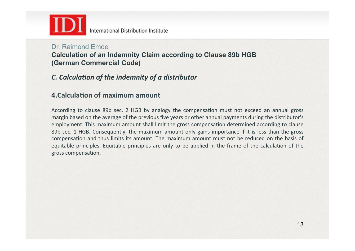

## Dr. Raimond Emde

**Calculation of an Indemnity Claim according to Clause 89b HGB (German Commercial Code)**

### *C.* Calculation of the indemnity of a distributor

### **4.Calculation of maximum amount**

According to clause 89b sec. 2 HGB by analogy the compensation must not exceed an annual gross margin based on the average of the previous five years or other annual payments during the distributor's employment. This maximum amount shall limit the gross compensation determined according to clause 89b sec. 1 HGB. Consequently, the maximum amount only gains importance if it is less than the gross compensation and thus limits its amount. The maximum amount must not be reduced on the basis of equitable principles. Equitable principles are only to be applied in the frame of the calculation of the gross compensation.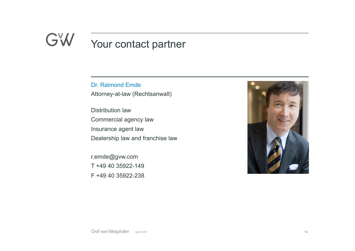## GW Your contact partner

Dr. Raimond Emde Attorney-at-law (Rechtsanwalt)

Distribution law Commercial agency law Insurance agent law Dealership law and franchise law

r.emde@gvw.com T +49 40 35922-149 F +49 40 35922-238

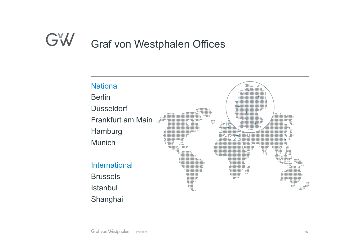## GW Graf von Westphalen Offices